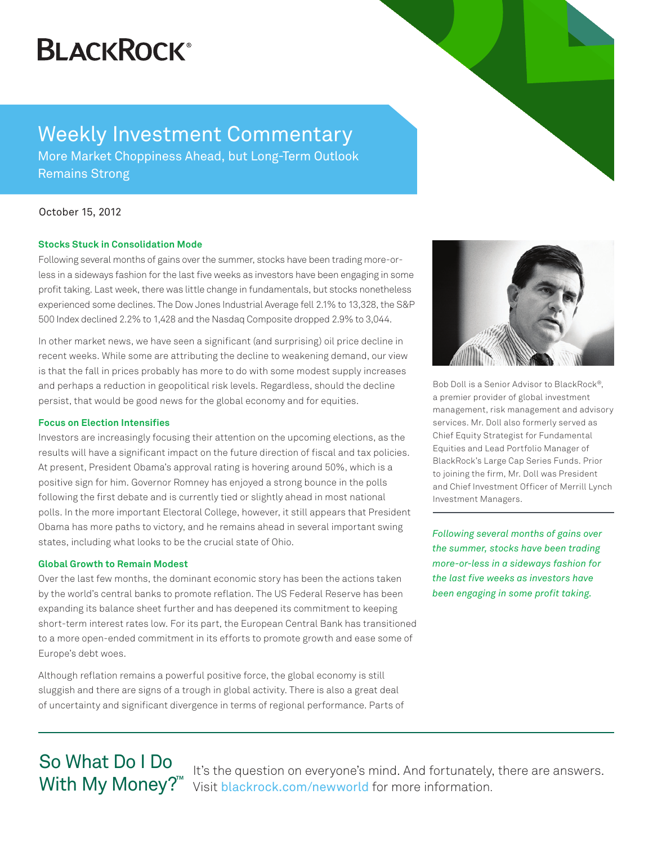## **BLACKROCK®**

### Weekly Investment Commentary

More Market Choppiness Ahead, but Long-Term Outlook Remains Strong

#### October 15, 2012

#### **Stocks Stuck in Consolidation Mode**

Following several months of gains over the summer, stocks have been trading more-orless in a sideways fashion for the last five weeks as investors have been engaging in some profit taking. Last week, there was little change in fundamentals, but stocks nonetheless experienced some declines. The Dow Jones Industrial Average fell 2.1% to 13,328, the S&P 500 Index declined 2.2% to 1,428 and the Nasdaq Composite dropped 2.9% to 3,044.

In other market news, we have seen a significant (and surprising) oil price decline in recent weeks. While some are attributing the decline to weakening demand, our view is that the fall in prices probably has more to do with some modest supply increases and perhaps a reduction in geopolitical risk levels. Regardless, should the decline persist, that would be good news for the global economy and for equities.

#### **Focus on Election Intensifies**

Investors are increasingly focusing their attention on the upcoming elections, as the results will have a significant impact on the future direction of fiscal and tax policies. At present, President Obama's approval rating is hovering around 50%, which is a positive sign for him. Governor Romney has enjoyed a strong bounce in the polls following the first debate and is currently tied or slightly ahead in most national polls. In the more important Electoral College, however, it still appears that President Obama has more paths to victory, and he remains ahead in several important swing states, including what looks to be the crucial state of Ohio.

#### **Global Growth to Remain Modest**

Over the last few months, the dominant economic story has been the actions taken by the world's central banks to promote reflation. The US Federal Reserve has been expanding its balance sheet further and has deepened its commitment to keeping short-term interest rates low. For its part, the European Central Bank has transitioned to a more open-ended commitment in its efforts to promote growth and ease some of Europe's debt woes.

Although reflation remains a powerful positive force, the global economy is still sluggish and there are signs of a trough in global activity. There is also a great deal of uncertainty and significant divergence in terms of regional performance. Parts of



Bob Doll is a Senior Advisor to BlackRock®, a premier provider of global investment management, risk management and advisory services. Mr. Doll also formerly served as Chief Equity Strategist for Fundamental Equities and Lead Portfolio Manager of BlackRock's Large Cap Series Funds. Prior to joining the firm, Mr. Doll was President and Chief Investment Officer of Merrill Lynch Investment Managers.

*Following several months of gains over the summer, stocks have been trading more-or-less in a sideways fashion for the last five weeks as investors have been engaging in some profit taking.* 

# So What Do I Do

It's the question on everyone's mind. And fortunately, there are answers. With My Money?<sup>™</sup> Visit blackrock.com/newworld for more information.